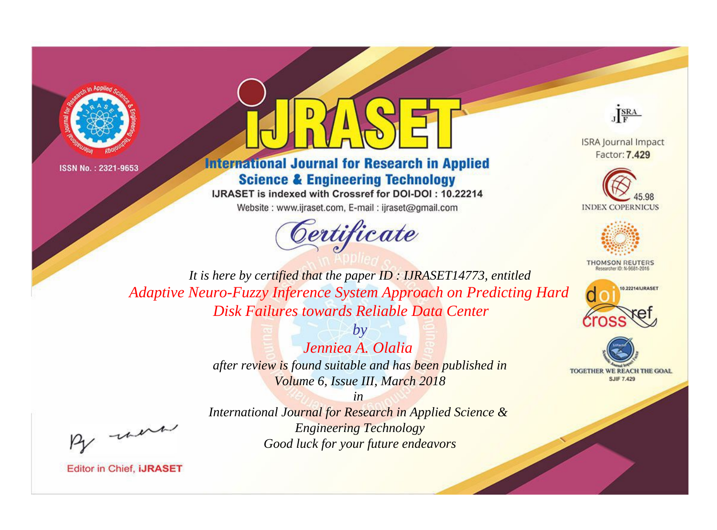



## **International Journal for Research in Applied Science & Engineering Technology**

IJRASET is indexed with Crossref for DOI-DOI: 10.22214

Website: www.ijraset.com, E-mail: ijraset@gmail.com





**ISRA Journal Impact** Factor: 7.429





**THOMSON REUTERS** 



TOGETHER WE REACH THE GOAL **SJIF 7.429** 

*It is here by certified that the paper ID : IJRASET14773, entitled Adaptive Neuro-Fuzzy Inference System Approach on Predicting Hard Disk Failures towards Reliable Data Center*

> *by Jenniea A. Olalia after review is found suitable and has been published in Volume 6, Issue III, March 2018*

, un

*International Journal for Research in Applied Science & Engineering Technology Good luck for your future endeavors*

*in*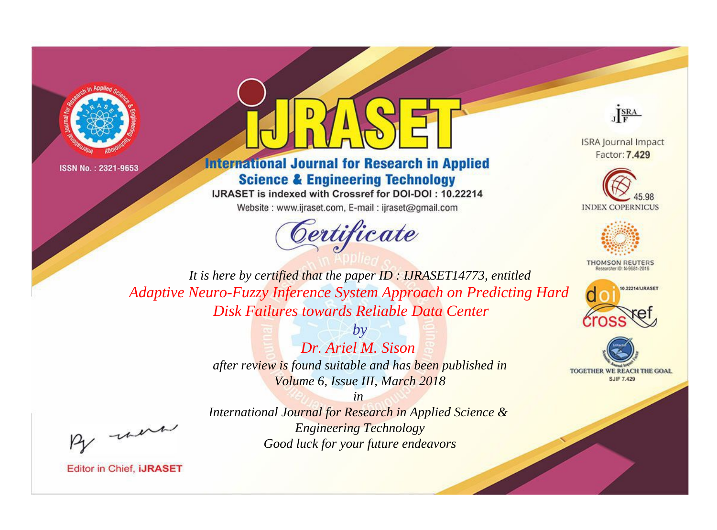



## **International Journal for Research in Applied Science & Engineering Technology**

IJRASET is indexed with Crossref for DOI-DOI: 10.22214

Website: www.ijraset.com, E-mail: ijraset@gmail.com





**ISRA Journal Impact** Factor: 7.429





**THOMSON REUTERS** 



TOGETHER WE REACH THE GOAL **SJIF 7.429** 

*It is here by certified that the paper ID : IJRASET14773, entitled Adaptive Neuro-Fuzzy Inference System Approach on Predicting Hard Disk Failures towards Reliable Data Center*

> *by Dr. Ariel M. Sison after review is found suitable and has been published in Volume 6, Issue III, March 2018*

, un

*International Journal for Research in Applied Science & Engineering Technology Good luck for your future endeavors*

*in*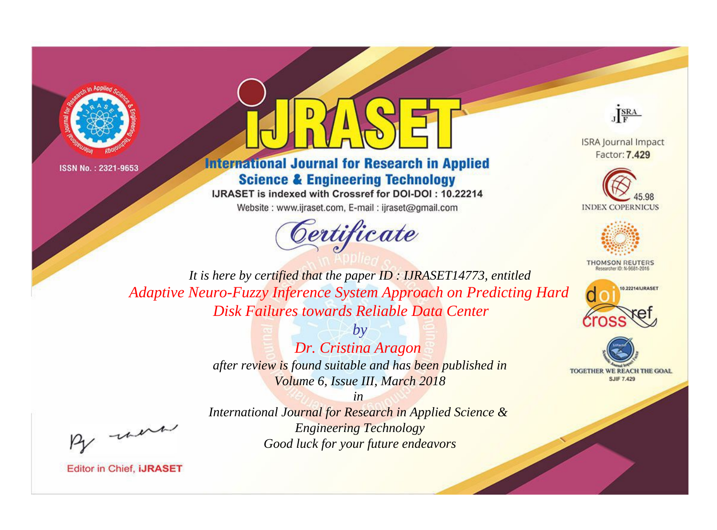



## **International Journal for Research in Applied Science & Engineering Technology**

IJRASET is indexed with Crossref for DOI-DOI: 10.22214

Website: www.ijraset.com, E-mail: ijraset@gmail.com





**ISRA Journal Impact** Factor: 7.429





**THOMSON REUTERS** 



TOGETHER WE REACH THE GOAL **SJIF 7.429** 

*It is here by certified that the paper ID : IJRASET14773, entitled Adaptive Neuro-Fuzzy Inference System Approach on Predicting Hard Disk Failures towards Reliable Data Center*

> *by Dr. Cristina Aragon after review is found suitable and has been published in Volume 6, Issue III, March 2018*

, un

*International Journal for Research in Applied Science & Engineering Technology Good luck for your future endeavors*

*in*